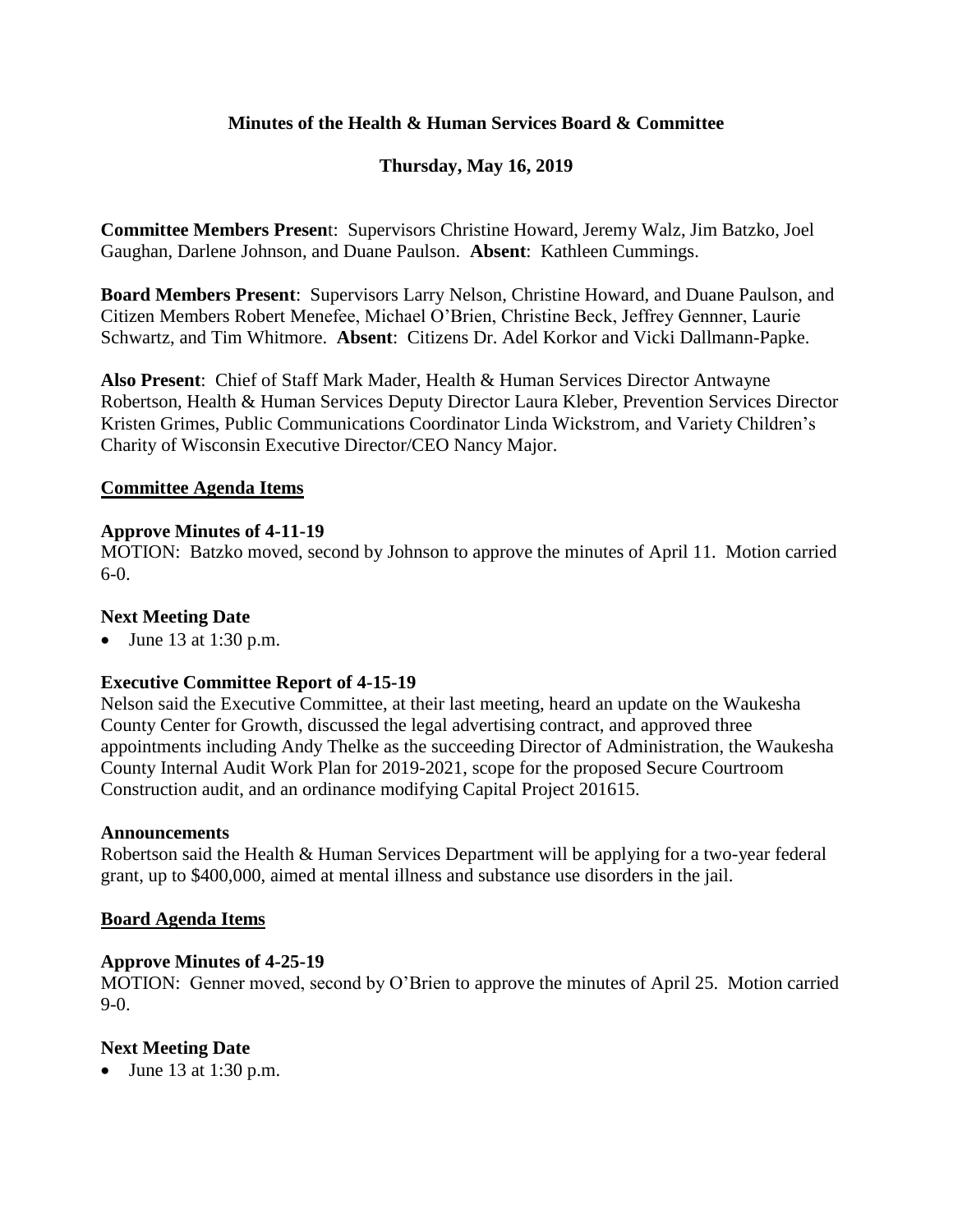# **Minutes of the Health & Human Services Board & Committee**

# **Thursday, May 16, 2019**

**Committee Members Presen**t: Supervisors Christine Howard, Jeremy Walz, Jim Batzko, Joel Gaughan, Darlene Johnson, and Duane Paulson. **Absent**: Kathleen Cummings.

**Board Members Present**: Supervisors Larry Nelson, Christine Howard, and Duane Paulson, and Citizen Members Robert Menefee, Michael O'Brien, Christine Beck, Jeffrey Gennner, Laurie Schwartz, and Tim Whitmore. **Absent**: Citizens Dr. Adel Korkor and Vicki Dallmann-Papke.

**Also Present**: Chief of Staff Mark Mader, Health & Human Services Director Antwayne Robertson, Health & Human Services Deputy Director Laura Kleber, Prevention Services Director Kristen Grimes, Public Communications Coordinator Linda Wickstrom, and Variety Children's Charity of Wisconsin Executive Director/CEO Nancy Major.

### **Committee Agenda Items**

### **Approve Minutes of 4-11-19**

MOTION: Batzko moved, second by Johnson to approve the minutes of April 11. Motion carried 6-0.

#### **Next Meeting Date**

 $\bullet$  June 13 at 1:30 p.m.

### **Executive Committee Report of 4-15-19**

Nelson said the Executive Committee, at their last meeting, heard an update on the Waukesha County Center for Growth, discussed the legal advertising contract, and approved three appointments including Andy Thelke as the succeeding Director of Administration, the Waukesha County Internal Audit Work Plan for 2019-2021, scope for the proposed Secure Courtroom Construction audit, and an ordinance modifying Capital Project 201615.

#### **Announcements**

Robertson said the Health & Human Services Department will be applying for a two-year federal grant, up to \$400,000, aimed at mental illness and substance use disorders in the jail.

### **Board Agenda Items**

### **Approve Minutes of 4-25-19**

MOTION: Genner moved, second by O'Brien to approve the minutes of April 25. Motion carried  $9-0.$ 

### **Next Meeting Date**

• June 13 at 1:30 p.m.